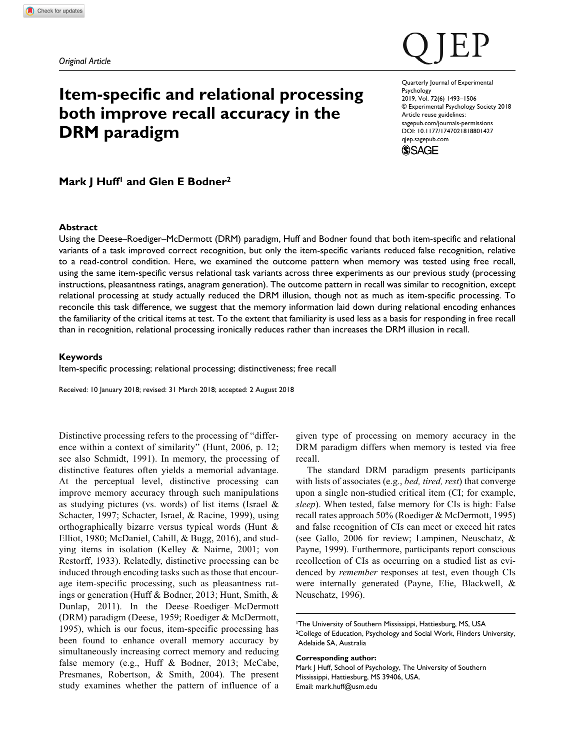# **Item-specific and relational processing both improve recall accuracy in the DRM paradigm**

# Quarterly Journal of Experimental

DOI: 10.1177/1747021818801427 Psychology 2019, Vol. 72(6) 1493–1506 © Experimental Psychology Society 2018 Article reuse guidelines: [sagepub.com/journals-permissions](https://uk.sagepub.com/en-gb/journals-permissions) [qjep.sagepub.com](http://qjep.sagepub.com)



Mark J Huff<sup>1</sup> and Glen E Bodner<sup>2</sup>

#### **Abstract**

Using the Deese–Roediger–McDermott (DRM) paradigm, Huff and Bodner found that both item-specific and relational variants of a task improved correct recognition, but only the item-specific variants reduced false recognition, relative to a read-control condition. Here, we examined the outcome pattern when memory was tested using free recall, using the same item-specific versus relational task variants across three experiments as our previous study (processing instructions, pleasantness ratings, anagram generation). The outcome pattern in recall was similar to recognition, except relational processing at study actually reduced the DRM illusion, though not as much as item-specific processing. To reconcile this task difference, we suggest that the memory information laid down during relational encoding enhances the familiarity of the critical items at test. To the extent that familiarity is used less as a basis for responding in free recall than in recognition, relational processing ironically reduces rather than increases the DRM illusion in recall.

#### **Keywords**

Item-specific processing; relational processing; distinctiveness; free recall

Received: 10 January 2018; revised: 31 March 2018; accepted: 2 August 2018

Distinctive processing refers to the processing of "difference within a context of similarity" (Hunt, 2006, p. 12; see also Schmidt, 1991). In memory, the processing of distinctive features often yields a memorial advantage. At the perceptual level, distinctive processing can improve memory accuracy through such manipulations as studying pictures (vs. words) of list items (Israel & Schacter, 1997; Schacter, Israel, & Racine, 1999), using orthographically bizarre versus typical words (Hunt & Elliot, 1980; McDaniel, Cahill, & Bugg, 2016), and studying items in isolation (Kelley & Nairne, 2001; von Restorff, 1933). Relatedly, distinctive processing can be induced through encoding tasks such as those that encourage item-specific processing, such as pleasantness ratings or generation (Huff & Bodner, 2013; Hunt, Smith, & Dunlap, 2011). In the Deese–Roediger–McDermott (DRM) paradigm (Deese, 1959; Roediger & McDermott, 1995), which is our focus, item-specific processing has been found to enhance overall memory accuracy by simultaneously increasing correct memory and reducing false memory (e.g., Huff & Bodner, 2013; McCabe, Presmanes, Robertson, & Smith, 2004). The present study examines whether the pattern of influence of a

given type of processing on memory accuracy in the DRM paradigm differs when memory is tested via free recall.

The standard DRM paradigm presents participants with lists of associates (e.g., *bed, tired, rest*) that converge upon a single non-studied critical item (CI; for example, *sleep*). When tested, false memory for CIs is high: False recall rates approach 50% (Roediger & McDermott, 1995) and false recognition of CIs can meet or exceed hit rates (see Gallo, 2006 for review; Lampinen, Neuschatz, & Payne, 1999). Furthermore, participants report conscious recollection of CIs as occurring on a studied list as evidenced by *remember* responses at test, even though CIs were internally generated (Payne, Elie, Blackwell, & Neuschatz, 1996).

**Corresponding author:**

<sup>1</sup>The University of Southern Mississippi, Hattiesburg, MS, USA <sup>2</sup>College of Education, Psychology and Social Work, Flinders University, Adelaide SA, Australia

Mark J Huff, School of Psychology, The University of Southern Mississippi, Hattiesburg, MS 39406, USA. Email: [mark.huff@usm.edu](mailto:mark.huff@usm.edu)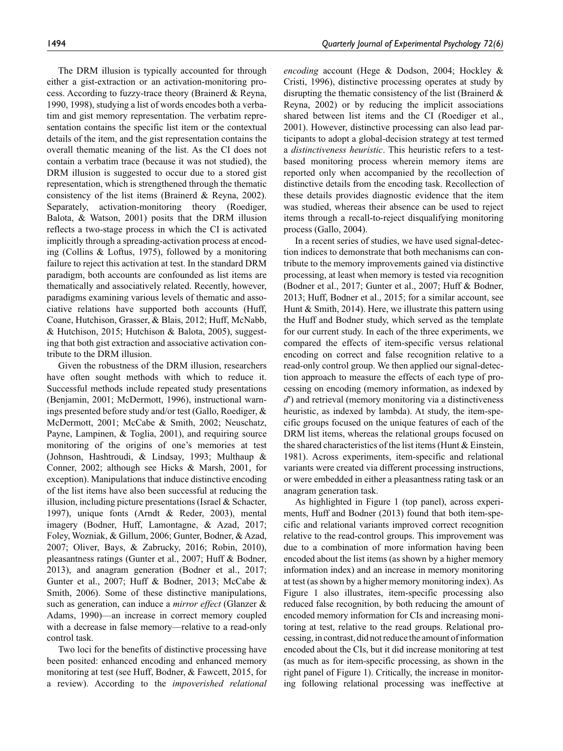The DRM illusion is typically accounted for through either a gist-extraction or an activation-monitoring process. According to fuzzy-trace theory (Brainerd & Reyna, 1990, 1998), studying a list of words encodes both a verbatim and gist memory representation. The verbatim representation contains the specific list item or the contextual details of the item, and the gist representation contains the overall thematic meaning of the list. As the CI does not contain a verbatim trace (because it was not studied), the DRM illusion is suggested to occur due to a stored gist representation, which is strengthened through the thematic consistency of the list items (Brainerd & Reyna, 2002). Separately, activation-monitoring theory (Roediger, Balota, & Watson, 2001) posits that the DRM illusion reflects a two-stage process in which the CI is activated implicitly through a spreading-activation process at encoding (Collins & Loftus, 1975), followed by a monitoring failure to reject this activation at test. In the standard DRM paradigm, both accounts are confounded as list items are thematically and associatively related. Recently, however, paradigms examining various levels of thematic and associative relations have supported both accounts (Huff, Coane, Hutchison, Grasser, & Blais, 2012; Huff, McNabb, & Hutchison, 2015; Hutchison & Balota, 2005), suggesting that both gist extraction and associative activation contribute to the DRM illusion.

Given the robustness of the DRM illusion, researchers have often sought methods with which to reduce it. Successful methods include repeated study presentations (Benjamin, 2001; McDermott, 1996), instructional warnings presented before study and/or test (Gallo, Roediger, & McDermott, 2001; McCabe & Smith, 2002; Neuschatz, Payne, Lampinen, & Toglia, 2001), and requiring source monitoring of the origins of one's memories at test (Johnson, Hashtroudi, & Lindsay, 1993; Multhaup & Conner, 2002; although see Hicks & Marsh, 2001, for exception). Manipulations that induce distinctive encoding of the list items have also been successful at reducing the illusion, including picture presentations (Israel & Schacter, 1997), unique fonts (Arndt & Reder, 2003), mental imagery (Bodner, Huff, Lamontagne, & Azad, 2017; Foley, Wozniak, & Gillum, 2006; Gunter, Bodner, & Azad, 2007; Oliver, Bays, & Zabrucky, 2016; Robin, 2010), pleasantness ratings (Gunter et al., 2007; Huff & Bodner, 2013), and anagram generation (Bodner et al., 2017; Gunter et al., 2007; Huff & Bodner, 2013; McCabe & Smith, 2006). Some of these distinctive manipulations, such as generation, can induce a *mirror effect* (Glanzer & Adams, 1990)—an increase in correct memory coupled with a decrease in false memory—relative to a read-only control task.

Two loci for the benefits of distinctive processing have been posited: enhanced encoding and enhanced memory monitoring at test (see Huff, Bodner, & Fawcett, 2015, for a review). According to the *impoverished relational*  *encoding* account (Hege & Dodson, 2004; Hockley & Cristi, 1996), distinctive processing operates at study by disrupting the thematic consistency of the list (Brainerd & Reyna, 2002) or by reducing the implicit associations shared between list items and the CI (Roediger et al., 2001). However, distinctive processing can also lead participants to adopt a global-decision strategy at test termed a *distinctiveness heuristic*. This heuristic refers to a testbased monitoring process wherein memory items are reported only when accompanied by the recollection of distinctive details from the encoding task. Recollection of these details provides diagnostic evidence that the item was studied, whereas their absence can be used to reject items through a recall-to-reject disqualifying monitoring process (Gallo, 2004).

In a recent series of studies, we have used signal-detection indices to demonstrate that both mechanisms can contribute to the memory improvements gained via distinctive processing, at least when memory is tested via recognition (Bodner et al., 2017; Gunter et al., 2007; Huff & Bodner, 2013; Huff, Bodner et al., 2015; for a similar account, see Hunt  $&$  Smith, 2014). Here, we illustrate this pattern using the Huff and Bodner study, which served as the template for our current study. In each of the three experiments, we compared the effects of item-specific versus relational encoding on correct and false recognition relative to a read-only control group. We then applied our signal-detection approach to measure the effects of each type of processing on encoding (memory information, as indexed by *d*') and retrieval (memory monitoring via a distinctiveness heuristic, as indexed by lambda). At study, the item-specific groups focused on the unique features of each of the DRM list items, whereas the relational groups focused on the shared characteristics of the list items (Hunt & Einstein, 1981). Across experiments, item-specific and relational variants were created via different processing instructions, or were embedded in either a pleasantness rating task or an anagram generation task.

As highlighted in Figure 1 (top panel), across experiments, Huff and Bodner (2013) found that both item-specific and relational variants improved correct recognition relative to the read-control groups. This improvement was due to a combination of more information having been encoded about the list items (as shown by a higher memory information index) and an increase in memory monitoring at test (as shown by a higher memory monitoring index). As Figure 1 also illustrates, item-specific processing also reduced false recognition, by both reducing the amount of encoded memory information for CIs and increasing monitoring at test, relative to the read groups. Relational processing, in contrast, did not reduce the amount of information encoded about the CIs, but it did increase monitoring at test (as much as for item-specific processing, as shown in the right panel of Figure 1). Critically, the increase in monitoring following relational processing was ineffective at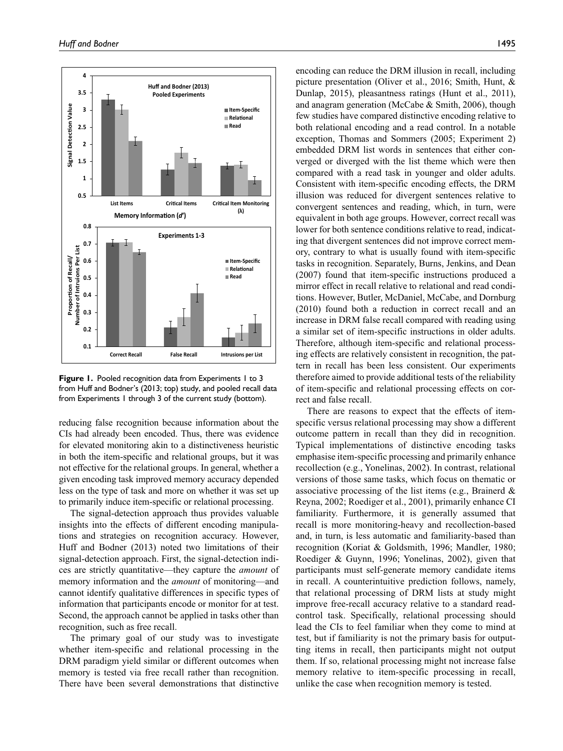

**Figure 1.** Pooled recognition data from Experiments 1 to 3 from Huff and Bodner's (2013; top) study, and pooled recall data from Experiments 1 through 3 of the current study (bottom).

reducing false recognition because information about the CIs had already been encoded. Thus, there was evidence for elevated monitoring akin to a distinctiveness heuristic in both the item-specific and relational groups, but it was not effective for the relational groups. In general, whether a given encoding task improved memory accuracy depended less on the type of task and more on whether it was set up to primarily induce item-specific or relational processing.

The signal-detection approach thus provides valuable insights into the effects of different encoding manipulations and strategies on recognition accuracy. However, Huff and Bodner (2013) noted two limitations of their signal-detection approach. First, the signal-detection indices are strictly quantitative—they capture the *amount* of memory information and the *amount* of monitoring—and cannot identify qualitative differences in specific types of information that participants encode or monitor for at test. Second, the approach cannot be applied in tasks other than recognition, such as free recall.

The primary goal of our study was to investigate whether item-specific and relational processing in the DRM paradigm yield similar or different outcomes when memory is tested via free recall rather than recognition. There have been several demonstrations that distinctive

encoding can reduce the DRM illusion in recall, including picture presentation (Oliver et al., 2016; Smith, Hunt, & Dunlap, 2015), pleasantness ratings (Hunt et al., 2011), and anagram generation (McCabe & Smith, 2006), though few studies have compared distinctive encoding relative to both relational encoding and a read control. In a notable exception, Thomas and Sommers (2005; Experiment 2) embedded DRM list words in sentences that either converged or diverged with the list theme which were then compared with a read task in younger and older adults. Consistent with item-specific encoding effects, the DRM illusion was reduced for divergent sentences relative to convergent sentences and reading, which, in turn, were equivalent in both age groups. However, correct recall was lower for both sentence conditions relative to read, indicating that divergent sentences did not improve correct memory, contrary to what is usually found with item-specific tasks in recognition. Separately, Burns, Jenkins, and Dean (2007) found that item-specific instructions produced a mirror effect in recall relative to relational and read conditions. However, Butler, McDaniel, McCabe, and Dornburg (2010) found both a reduction in correct recall and an increase in DRM false recall compared with reading using a similar set of item-specific instructions in older adults. Therefore, although item-specific and relational processing effects are relatively consistent in recognition, the pattern in recall has been less consistent. Our experiments therefore aimed to provide additional tests of the reliability of item-specific and relational processing effects on correct and false recall.

There are reasons to expect that the effects of itemspecific versus relational processing may show a different outcome pattern in recall than they did in recognition. Typical implementations of distinctive encoding tasks emphasise item-specific processing and primarily enhance recollection (e.g., Yonelinas, 2002). In contrast, relational versions of those same tasks, which focus on thematic or associative processing of the list items (e.g., Brainerd & Reyna, 2002; Roediger et al., 2001), primarily enhance CI familiarity. Furthermore, it is generally assumed that recall is more monitoring-heavy and recollection-based and, in turn, is less automatic and familiarity-based than recognition (Koriat & Goldsmith, 1996; Mandler, 1980; Roediger & Guynn, 1996; Yonelinas, 2002), given that participants must self-generate memory candidate items in recall. A counterintuitive prediction follows, namely, that relational processing of DRM lists at study might improve free-recall accuracy relative to a standard readcontrol task. Specifically, relational processing should lead the CIs to feel familiar when they come to mind at test, but if familiarity is not the primary basis for outputting items in recall, then participants might not output them. If so, relational processing might not increase false memory relative to item-specific processing in recall, unlike the case when recognition memory is tested.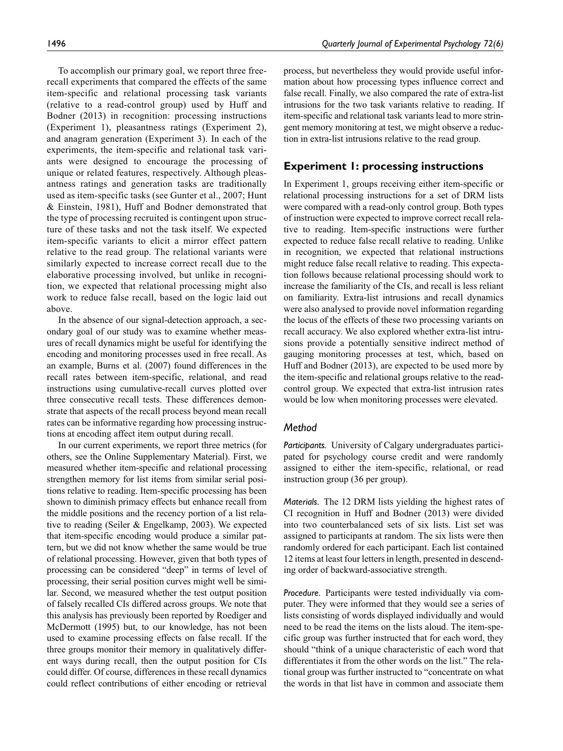To accomplish our primary goal, we report three freerecall experiments that compared the effects of the same item-specific and relational processing task variants (relative to a read-control group) used by Huff and Bodner (2013) in recognition: processing instructions (Experiment 1), pleasantness ratings (Experiment 2), and anagram generation (Experiment 3). In each of the experiments, the item-specific and relational task variants were designed to encourage the processing of unique or related features, respectively. Although pleasantness ratings and generation tasks are traditionally used as item-specific tasks (see Gunter et al., 2007; Hunt & Einstein, 1981), Huff and Bodner demonstrated that the type of processing recruited is contingent upon structure of these tasks and not the task itself. We expected item-specific variants to elicit a mirror effect pattern relative to the read group. The relational variants were similarly expected to increase correct recall due to the elaborative processing involved, but unlike in recognition, we expected that relational processing might also work to reduce false recall, based on the logic laid out above.

In the absence of our signal-detection approach, a secondary goal of our study was to examine whether measures of recall dynamics might be useful for identifying the encoding and monitoring processes used in free recall. As an example, Burns et al. (2007) found differences in the recall rates between item-specific, relational, and read instructions using cumulative-recall curves plotted over three consecutive recall tests. These differences demonstrate that aspects of the recall process beyond mean recall rates can be informative regarding how processing instructions at encoding affect item output during recall.

In our current experiments, we report three metrics (for others, see the Online Supplementary Material). First, we measured whether item-specific and relational processing strengthen memory for list items from similar serial positions relative to reading. Item-specific processing has been shown to diminish primacy effects but enhance recall from the middle positions and the recency portion of a list relative to reading (Seiler & Engelkamp, 2003). We expected that item-specific encoding would produce a similar pattern, but we did not know whether the same would be true of relational processing. However, given that both types of processing can be considered "deep" in terms of level of processing, their serial position curves might well be similar. Second, we measured whether the test output position of falsely recalled CIs differed across groups. We note that this analysis has previously been reported by Roediger and McDermott (1995) but, to our knowledge, has not been used to examine processing effects on false recall. If the three groups monitor their memory in qualitatively different ways during recall, then the output position for CIs could differ. Of course, differences in these recall dynamics could reflect contributions of either encoding or retrieval

process, but nevertheless they would provide useful information about how processing types influence correct and false recall. Finally, we also compared the rate of extra-list intrusions for the two task variants relative to reading. If item-specific and relational task variants lead to more stringent memory monitoring at test, we might observe a reduction in extra-list intrusions relative to the read group.

## **Experiment 1: processing instructions**

In Experiment 1, groups receiving either item-specific or relational processing instructions for a set of DRM lists were compared with a read-only control group. Both types of instruction were expected to improve correct recall relative to reading. Item-specific instructions were further expected to reduce false recall relative to reading. Unlike in recognition, we expected that relational instructions might reduce false recall relative to reading. This expectation follows because relational processing should work to increase the familiarity of the CIs, and recall is less reliant on familiarity. Extra-list intrusions and recall dynamics were also analysed to provide novel information regarding the locus of the effects of these two processing variants on recall accuracy. We also explored whether extra-list intrusions provide a potentially sensitive indirect method of gauging monitoring processes at test, which, based on Huff and Bodner (2013), are expected to be used more by the item-specific and relational groups relative to the readcontrol group. We expected that extra-list intrusion rates would be low when monitoring processes were elevated.

#### *Method*

*Participants.* University of Calgary undergraduates participated for psychology course credit and were randomly assigned to either the item-specific, relational, or read instruction group (36 per group).

*Materials.* The 12 DRM lists yielding the highest rates of CI recognition in Huff and Bodner (2013) were divided into two counterbalanced sets of six lists. List set was assigned to participants at random. The six lists were then randomly ordered for each participant. Each list contained 12 items at least four letters in length, presented in descending order of backward-associative strength.

*Procedure.* Participants were tested individually via computer. They were informed that they would see a series of lists consisting of words displayed individually and would need to be read the items on the lists aloud. The item-specific group was further instructed that for each word, they should "think of a unique characteristic of each word that differentiates it from the other words on the list." The relational group was further instructed to "concentrate on what the words in that list have in common and associate them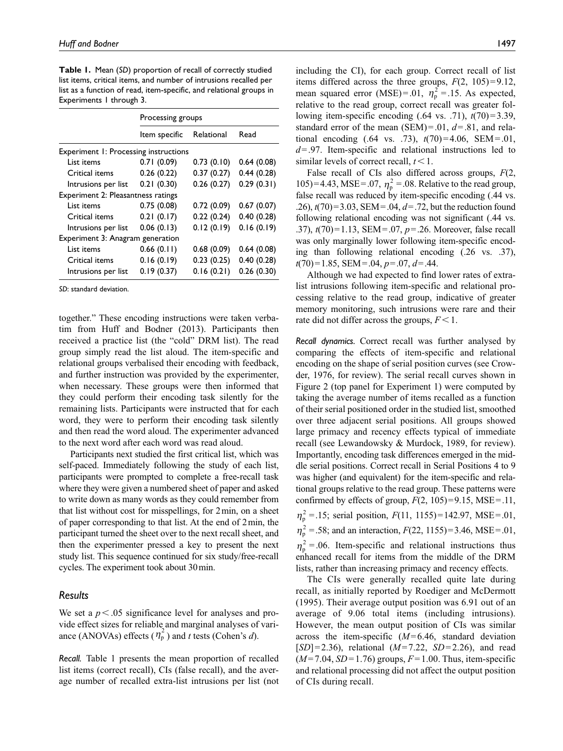**Table 1.** Mean (*SD*) proportion of recall of correctly studied list items, critical items, and number of intrusions recalled per list as a function of read, item-specific, and relational groups in Experiments 1 through 3.

|                                       | Processing groups |            |            |
|---------------------------------------|-------------------|------------|------------|
|                                       | Item specific     | Relational | Read       |
| Experiment 1: Processing instructions |                   |            |            |
| List items                            | 0.71(0.09)        | 0.73(0.10) | 0.64(0.08) |
| Critical items                        | 0.26(0.22)        | 0.37(0.27) | 0.44(0.28) |
| Intrusions per list                   | 0.21(0.30)        | 0.26(0.27) | 0.29(0.31) |
| Experiment 2: Pleasantness ratings    |                   |            |            |
| List items                            | 0.75(0.08)        | 0.72(0.09) | 0.67(0.07) |
| Critical items                        | 0.21(0.17)        | 0.22(0.24) | 0.40(0.28) |
| Intrusions per list                   | 0.06(0.13)        | 0.12(0.19) | 0.16(0.19) |
| Experiment 3: Anagram generation      |                   |            |            |
| List items                            | 0.66(0.11)        | 0.68(0.09) | 0.64(0.08) |
| Critical items                        | 0.16(0.19)        | 0.23(0.25) | 0.40(0.28) |
| Intrusions per list                   | 0.19(0.37)        | 0.16(0.21) | 0.26(0.30) |

*SD*: standard deviation.

together." These encoding instructions were taken verbatim from Huff and Bodner (2013). Participants then received a practice list (the "cold" DRM list). The read group simply read the list aloud. The item-specific and relational groups verbalised their encoding with feedback, and further instruction was provided by the experimenter, when necessary. These groups were then informed that they could perform their encoding task silently for the remaining lists. Participants were instructed that for each word, they were to perform their encoding task silently and then read the word aloud. The experimenter advanced to the next word after each word was read aloud.

Participants next studied the first critical list, which was self-paced. Immediately following the study of each list, participants were prompted to complete a free-recall task where they were given a numbered sheet of paper and asked to write down as many words as they could remember from that list without cost for misspellings, for 2min, on a sheet of paper corresponding to that list. At the end of 2min, the participant turned the sheet over to the next recall sheet, and then the experimenter pressed a key to present the next study list. This sequence continued for six study/free-recall cycles. The experiment took about 30min.

#### *Results*

We set a  $p < .05$  significance level for analyses and provide effect sizes for reliable and marginal analyses of variance (ANOVAs) effects  $(\eta_{\rm p}^2)$  and *t* tests (Cohen's *d*).

*Recall.* Table 1 presents the mean proportion of recalled list items (correct recall), CIs (false recall), and the average number of recalled extra-list intrusions per list (not

including the CI), for each group. Correct recall of list items differed across the three groups,  $F(2, 105)=9.12$ , mean squared error (MSE)=.01,  $\eta_p^2$  =.15. As expected, relative to the read group, correct recall was greater following item-specific encoding (.64 vs. .71), *t*(70)=3.39, standard error of the mean (SEM)=.01, *d*=.81, and relational encoding (.64 vs. .73), *t*(70)=4.06, SEM=.01, *d*=.97. Item-specific and relational instructions led to similar levels of correct recall, *t*<1.

False recall of CIs also differed across groups, *F*(2, 105)=4.43, MSE = .07,  $\eta_p^2$  = .08. Relative to the read group, false recall was reduced by item-specific encoding (.44 vs. .26), *t*(70)=3.03, SEM=.04, *d*=.72, but the reduction found following relational encoding was not significant (.44 vs. .37), *t*(70)=1.13, SEM=.07, *p*=.26. Moreover, false recall was only marginally lower following item-specific encoding than following relational encoding (.26 vs. .37), *t*(70)=1.85, SEM=.04, *p*=.07, *d*=.44.

Although we had expected to find lower rates of extralist intrusions following item-specific and relational processing relative to the read group, indicative of greater memory monitoring, such intrusions were rare and their rate did not differ across the groups,  $F < 1$ .

*Recall dynamics.* Correct recall was further analysed by comparing the effects of item-specific and relational encoding on the shape of serial position curves (see Crowder, 1976, for review). The serial recall curves shown in Figure 2 (top panel for Experiment 1) were computed by taking the average number of items recalled as a function of their serial positioned order in the studied list, smoothed over three adjacent serial positions. All groups showed large primacy and recency effects typical of immediate recall (see Lewandowsky & Murdock, 1989, for review). Importantly, encoding task differences emerged in the middle serial positions. Correct recall in Serial Positions 4 to 9 was higher (and equivalent) for the item-specific and relational groups relative to the read group. These patterns were confirmed by effects of group,  $F(2, 105)=9.15$ , MSE=.11,  $\eta_p^2 = 0.15$ ; serial position, *F*(11, 1155) = 142.97, MSE = .01,  $\eta_p^2$  = .58; and an interaction, *F*(22, 1155)=3.46, MSE=.01,  $\eta_p^2$  = 0.06. Item-specific and relational instructions thus enhanced recall for items from the middle of the DRM lists, rather than increasing primacy and recency effects.

The CIs were generally recalled quite late during recall, as initially reported by Roediger and McDermott (1995). Their average output position was 6.91 out of an average of 9.06 total items (including intrusions). However, the mean output position of CIs was similar across the item-specific (*M*=6.46, standard deviation [*SD*]=2.36), relational (*M*=7.22, *SD*=2.26), and read (*M*=7.04, *SD*=1.76) groups, *F*=1.00. Thus, item-specific and relational processing did not affect the output position of CIs during recall.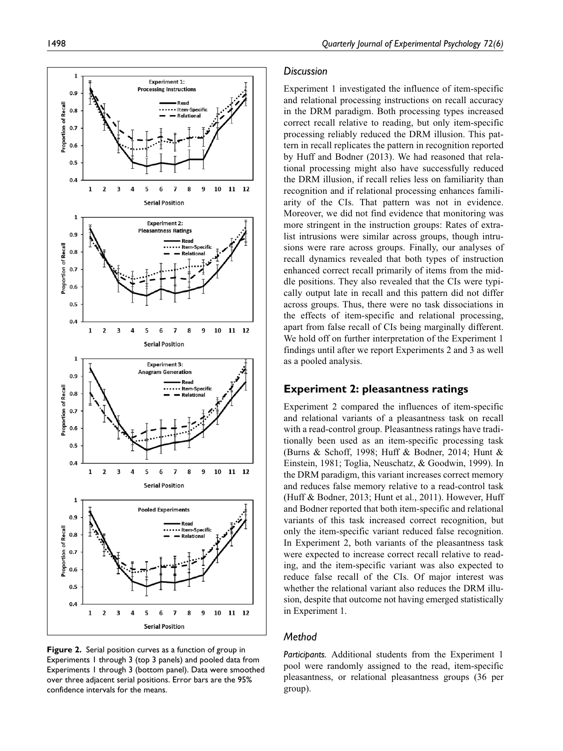

**Figure 2.** Serial position curves as a function of group in Experiments 1 through 3 (top 3 panels) and pooled data from Experiments 1 through 3 (bottom panel). Data were smoothed over three adjacent serial positions. Error bars are the 95% confidence intervals for the means.

#### *Discussion*

Experiment 1 investigated the influence of item-specific and relational processing instructions on recall accuracy in the DRM paradigm. Both processing types increased correct recall relative to reading, but only item-specific processing reliably reduced the DRM illusion. This pattern in recall replicates the pattern in recognition reported by Huff and Bodner (2013). We had reasoned that relational processing might also have successfully reduced the DRM illusion, if recall relies less on familiarity than recognition and if relational processing enhances familiarity of the CIs. That pattern was not in evidence. Moreover, we did not find evidence that monitoring was more stringent in the instruction groups: Rates of extralist intrusions were similar across groups, though intrusions were rare across groups. Finally, our analyses of recall dynamics revealed that both types of instruction enhanced correct recall primarily of items from the middle positions. They also revealed that the CIs were typically output late in recall and this pattern did not differ across groups. Thus, there were no task dissociations in the effects of item-specific and relational processing, apart from false recall of CIs being marginally different. We hold off on further interpretation of the Experiment 1 findings until after we report Experiments 2 and 3 as well as a pooled analysis.

#### **Experiment 2: pleasantness ratings**

Experiment 2 compared the influences of item-specific and relational variants of a pleasantness task on recall with a read-control group. Pleasantness ratings have traditionally been used as an item-specific processing task (Burns & Schoff, 1998; Huff & Bodner, 2014; Hunt & Einstein, 1981; Toglia, Neuschatz, & Goodwin, 1999). In the DRM paradigm, this variant increases correct memory and reduces false memory relative to a read-control task (Huff & Bodner, 2013; Hunt et al., 2011). However, Huff and Bodner reported that both item-specific and relational variants of this task increased correct recognition, but only the item-specific variant reduced false recognition. In Experiment 2, both variants of the pleasantness task were expected to increase correct recall relative to reading, and the item-specific variant was also expected to reduce false recall of the CIs. Of major interest was whether the relational variant also reduces the DRM illusion, despite that outcome not having emerged statistically in Experiment 1.

#### *Method*

*Participants.* Additional students from the Experiment 1 pool were randomly assigned to the read, item-specific pleasantness, or relational pleasantness groups (36 per group).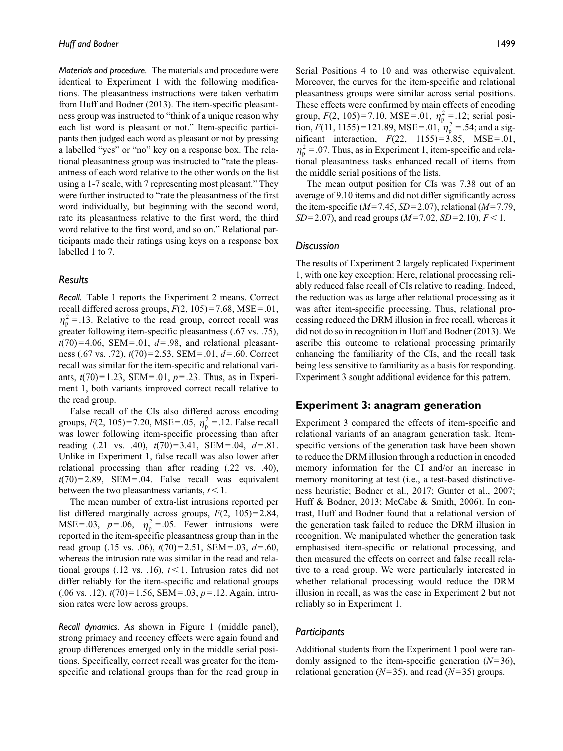*Materials and procedure.* The materials and procedure were identical to Experiment 1 with the following modifications. The pleasantness instructions were taken verbatim from Huff and Bodner (2013). The item-specific pleasantness group was instructed to "think of a unique reason why each list word is pleasant or not." Item-specific participants then judged each word as pleasant or not by pressing a labelled "yes" or "no" key on a response box. The relational pleasantness group was instructed to "rate the pleasantness of each word relative to the other words on the list using a 1-7 scale, with 7 representing most pleasant." They were further instructed to "rate the pleasantness of the first word individually, but beginning with the second word, rate its pleasantness relative to the first word, the third word relative to the first word, and so on." Relational participants made their ratings using keys on a response box labelled 1 to 7.

#### *Results*

*Recall.* Table 1 reports the Experiment 2 means. Correct recall differed across groups,  $F(2, 105) = 7.68$ , MSE = .01,  $\eta_p^2$  = .13. Relative to the read group, correct recall was greater following item-specific pleasantness (.67 vs. .75),  $t(70)=4.06$ , SEM=.01,  $d=0.98$ , and relational pleasantness (.67 vs. .72), *t*(70)=2.53, SEM=.01, *d*=.60. Correct recall was similar for the item-specific and relational variants, *t*(70)=1.23, SEM=.01, *p*=.23. Thus, as in Experiment 1, both variants improved correct recall relative to the read group.

False recall of the CIs also differed across encoding groups,  $F(2, 105) = 7.20$ , MSE = .05,  $\eta_p^2 = 0.12$ . False recall was lower following item-specific processing than after reading (.21 vs. .40), *t*(70)=3.41, SEM=.04, *d*=.81. Unlike in Experiment 1, false recall was also lower after relational processing than after reading (.22 vs. .40),  $t(70)=2.89$ , SEM=.04. False recall was equivalent between the two pleasantness variants,  $t < 1$ .

The mean number of extra-list intrusions reported per list differed marginally across groups, *F*(2, 105)=2.84, MSE=.03,  $p=.06$ ,  $\eta_p^2 = .05$ . Fewer intrusions were reported in the item-specific pleasantness group than in the read group (.15 vs. .06), *t*(70)=2.51, SEM=.03, *d*=.60, whereas the intrusion rate was similar in the read and relational groups (.12 vs. .16), *t*<1. Intrusion rates did not differ reliably for the item-specific and relational groups (.06 vs. .12), *t*(70)=1.56, SEM=.03, *p*=.12. Again, intrusion rates were low across groups.

*Recall dynamics.* As shown in Figure 1 (middle panel), strong primacy and recency effects were again found and group differences emerged only in the middle serial positions. Specifically, correct recall was greater for the itemspecific and relational groups than for the read group in Serial Positions 4 to 10 and was otherwise equivalent. Moreover, the curves for the item-specific and relational pleasantness groups were similar across serial positions. These effects were confirmed by main effects of encoding group,  $F(2, 105) = 7.10$ , MSE = .01,  $\eta_p^2 = 1.12$ ; serial position,  $F(11, 1155) = 121.89$ , MSE = .01,  $n_p^2 = .54$ ; and a significant interaction,  $F(22, 1155) = 3.85$ , MSE = .01,  $\eta_p^2$  = .07. Thus, as in Experiment 1, item-specific and relational pleasantness tasks enhanced recall of items from the middle serial positions of the lists.

The mean output position for CIs was 7.38 out of an average of 9.10 items and did not differ significantly across the item-specific (*M*=7.45, *SD*=2.07), relational (*M*=7.79, *SD*=2.07), and read groups (*M*=7.02, *SD*=2.10), *F*<1.

#### *Discussion*

The results of Experiment 2 largely replicated Experiment 1, with one key exception: Here, relational processing reliably reduced false recall of CIs relative to reading. Indeed, the reduction was as large after relational processing as it was after item-specific processing. Thus, relational processing reduced the DRM illusion in free recall, whereas it did not do so in recognition in Huff and Bodner (2013). We ascribe this outcome to relational processing primarily enhancing the familiarity of the CIs, and the recall task being less sensitive to familiarity as a basis for responding. Experiment 3 sought additional evidence for this pattern.

#### **Experiment 3: anagram generation**

Experiment 3 compared the effects of item-specific and relational variants of an anagram generation task. Itemspecific versions of the generation task have been shown to reduce the DRM illusion through a reduction in encoded memory information for the CI and/or an increase in memory monitoring at test (i.e., a test-based distinctiveness heuristic; Bodner et al., 2017; Gunter et al., 2007; Huff & Bodner, 2013; McCabe & Smith, 2006). In contrast, Huff and Bodner found that a relational version of the generation task failed to reduce the DRM illusion in recognition. We manipulated whether the generation task emphasised item-specific or relational processing, and then measured the effects on correct and false recall relative to a read group. We were particularly interested in whether relational processing would reduce the DRM illusion in recall, as was the case in Experiment 2 but not reliably so in Experiment 1.

#### *Participants*

Additional students from the Experiment 1 pool were randomly assigned to the item-specific generation  $(N=36)$ , relational generation  $(N=35)$ , and read  $(N=35)$  groups.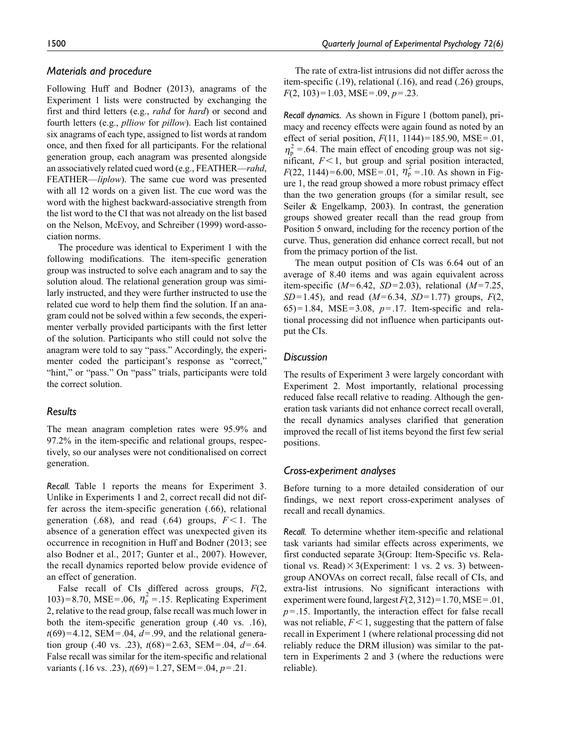#### *Materials and procedure*

Following Huff and Bodner (2013), anagrams of the Experiment 1 lists were constructed by exchanging the first and third letters (e.g., *rahd* for *hard*) or second and fourth letters (e.g., *plliow* for *pillow*). Each list contained six anagrams of each type, assigned to list words at random once, and then fixed for all participants. For the relational generation group, each anagram was presented alongside an associatively related cued word (e.g., FEATHER—*rahd*, FEATHER—*liplow*). The same cue word was presented with all 12 words on a given list. The cue word was the word with the highest backward-associative strength from the list word to the CI that was not already on the list based on the Nelson, McEvoy, and Schreiber (1999) word-association norms.

The procedure was identical to Experiment 1 with the following modifications. The item-specific generation group was instructed to solve each anagram and to say the solution aloud. The relational generation group was similarly instructed, and they were further instructed to use the related cue word to help them find the solution. If an anagram could not be solved within a few seconds, the experimenter verbally provided participants with the first letter of the solution. Participants who still could not solve the anagram were told to say "pass." Accordingly, the experimenter coded the participant's response as "correct," "hint," or "pass." On "pass" trials, participants were told the correct solution.

#### *Results*

The mean anagram completion rates were 95.9% and 97.2% in the item-specific and relational groups, respectively, so our analyses were not conditionalised on correct generation.

*Recall.* Table 1 reports the means for Experiment 3. Unlike in Experiments 1 and 2, correct recall did not differ across the item-specific generation (.66), relational generation (.68), and read (.64) groups,  $F < 1$ . The absence of a generation effect was unexpected given its occurrence in recognition in Huff and Bodner (2013; see also Bodner et al., 2017; Gunter et al., 2007). However, the recall dynamics reported below provide evidence of an effect of generation.

False recall of CIs differed across groups, *F*(2, 103)=8.70, MSE=.06,  $\eta_p^2$  =.15. Replicating Experiment 2, relative to the read group, false recall was much lower in both the item-specific generation group (.40 vs. .16),  $t(69)=4.12$ , SEM=.04,  $d=0.99$ , and the relational generation group (.40 vs. .23), *t*(68)=2.63, SEM=.04, *d*=.64. False recall was similar for the item-specific and relational variants (.16 vs. .23), *t*(69)=1.27, SEM=.04, *p*=.21.

The rate of extra-list intrusions did not differ across the item-specific (.19), relational (.16), and read (.26) groups, *F*(2, 103)=1.03, MSE=.09, *p*=.23.

*Recall dynamics.* As shown in Figure 1 (bottom panel), primacy and recency effects were again found as noted by an effect of serial position, *F*(11, 1144)=185.90, MSE=.01,  $\eta_p^2$  = .64. The main effect of encoding group was not significant, *F*<1, but group and serial position interacted,  $F(22, 1144)=6.00$ ,  $\overline{\text{MSE}}$  = .01,  $\eta_p^2$  = .10. As shown in Figure 1, the read group showed a more robust primacy effect than the two generation groups (for a similar result, see Seiler & Engelkamp, 2003). In contrast, the generation groups showed greater recall than the read group from Position 5 onward, including for the recency portion of the curve. Thus, generation did enhance correct recall, but not from the primacy portion of the list.

The mean output position of CIs was 6.64 out of an average of 8.40 items and was again equivalent across item-specific (*M*=6.42, *SD*=2.03), relational (*M*=7.25, *SD*=1.45), and read (*M*=6.34, *SD*=1.77) groups, *F*(2, 65)=1.84, MSE=3.08,  $p=.17$ . Item-specific and relational processing did not influence when participants output the CIs.

#### *Discussion*

The results of Experiment 3 were largely concordant with Experiment 2. Most importantly, relational processing reduced false recall relative to reading. Although the generation task variants did not enhance correct recall overall, the recall dynamics analyses clarified that generation improved the recall of list items beyond the first few serial positions.

#### *Cross-experiment analyses*

Before turning to a more detailed consideration of our findings, we next report cross-experiment analyses of recall and recall dynamics.

*Recall.* To determine whether item-specific and relational task variants had similar effects across experiments, we first conducted separate 3(Group: Item-Specific vs. Relational vs. Read) $\times$ 3(Experiment: 1 vs. 2 vs. 3) betweengroup ANOVAs on correct recall, false recall of CIs, and extra-list intrusions. No significant interactions with experiment were found, largest  $F(2, 312)=1.70$ , MSE = .01, *p*=.15. Importantly, the interaction effect for false recall was not reliable,  $F<1$ , suggesting that the pattern of false recall in Experiment 1 (where relational processing did not reliably reduce the DRM illusion) was similar to the pattern in Experiments 2 and 3 (where the reductions were reliable).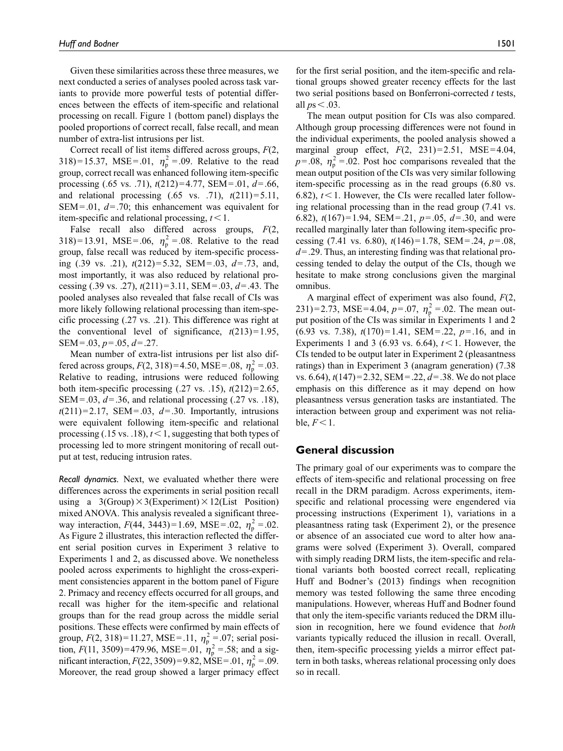Given these similarities across these three measures, we next conducted a series of analyses pooled across task variants to provide more powerful tests of potential differences between the effects of item-specific and relational processing on recall. Figure 1 (bottom panel) displays the pooled proportions of correct recall, false recall, and mean number of extra-list intrusions per list.

Correct recall of list items differed across groups, *F*(2, 318)=15.37, MSE=.01,  $\eta_p^2 = 0.09$ . Relative to the read group, correct recall was enhanced following item-specific processing (.65 vs. .71), *t*(212)=4.77, SEM=.01, *d*=.66, and relational processing (.65 vs. .71), *t*(211)=5.11, SEM=.01, *d*=.70; this enhancement was equivalent for item-specific and relational processing, *t*<1.

False recall also differed across groups, *F*(2, 318)=13.91, MSE=.06,  $\eta_p^2 = 0.08$ . Relative to the read group, false recall was reduced by item-specific processing (.39 vs. .21), *t*(212)=5.32, SEM=.03, *d*=.73, and, most importantly, it was also reduced by relational processing (.39 vs. .27), *t*(211)=3.11, SEM=.03, *d*=.43. The pooled analyses also revealed that false recall of CIs was more likely following relational processing than item-specific processing (.27 vs. .21). This difference was right at the conventional level of significance,  $t(213)=1.95$ , SEM=.03, *p*=.05, *d*=.27.

Mean number of extra-list intrusions per list also differed across groups,  $F(2, 318)=4.50$ , MSE = .08,  $\eta_p^2 = .03$ . Relative to reading, intrusions were reduced following both item-specific processing (.27 vs. .15), *t*(212)=2.65, SEM=.03, *d*=.36, and relational processing (.27 vs. .18),  $t(211)=2.17$ , SEM=.03,  $d=0.30$ . Importantly, intrusions were equivalent following item-specific and relational processing  $(.15 \text{ vs. } .18)$ ,  $t < 1$ , suggesting that both types of processing led to more stringent monitoring of recall output at test, reducing intrusion rates.

*Recall dynamics.* Next, we evaluated whether there were differences across the experiments in serial position recall using a  $3(Group) \times 3(Experiment) \times 12(List Position)$ mixed ANOVA. This analysis revealed a significant threeway interaction,  $F(44, 3443)=1.69$ , MSE = .02,  $\eta_p^2 = .02$ . As Figure 2 illustrates, this interaction reflected the different serial position curves in Experiment 3 relative to Experiments 1 and 2, as discussed above. We nonetheless pooled across experiments to highlight the cross-experiment consistencies apparent in the bottom panel of Figure 2. Primacy and recency effects occurred for all groups, and recall was higher for the item-specific and relational groups than for the read group across the middle serial positions. These effects were confirmed by main effects of group,  $F(2, 318)=11.27$ , MSE = .11,  $\eta_p^2 = .07$ ; serial position,  $F(11, 3509) = 479.96$ , MSE = .01,  $n_p^2 = 0.58$ ; and a significant interaction,  $F(22, 3509) = 9.82$ ,  $\text{MSE} = .01$ ,  $\eta_p^2 = .09$ . Moreover, the read group showed a larger primacy effect

for the first serial position, and the item-specific and relational groups showed greater recency effects for the last two serial positions based on Bonferroni-corrected *t* tests, all *p*s<.03.

The mean output position for CIs was also compared. Although group processing differences were not found in the individual experiments, the pooled analysis showed a marginal group effect, *F*(2, 231)=2.51, MSE=4.04,  $p = .08$ ,  $\eta_p^2 = .02$ . Post hoc comparisons revealed that the mean output position of the CIs was very similar following item-specific processing as in the read groups (6.80 vs. 6.82),  $t < 1$ . However, the CIs were recalled later following relational processing than in the read group (7.41 vs. 6.82), *t*(167)=1.94, SEM=.21, *p*=.05, *d*=.30, and were recalled marginally later than following item-specific processing (7.41 vs. 6.80), *t*(146)=1.78, SEM=.24, *p*=.08, *d*=.29. Thus, an interesting finding was that relational processing tended to delay the output of the CIs, though we hesitate to make strong conclusions given the marginal omnibus.

A marginal effect of experiment was also found, *F*(2, 231)=2.73, MSE=4.04,  $p = .07$ ,  $\eta_p^2 = .02$ . The mean output position of the CIs was similar in Experiments 1 and 2 (6.93 vs. 7.38), *t*(170)=1.41, SEM=.22, *p*=.16, and in Experiments 1 and 3 (6.93 vs. 6.64),  $t < 1$ . However, the CIs tended to be output later in Experiment 2 (pleasantness ratings) than in Experiment 3 (anagram generation) (7.38 vs. 6.64), *t*(147)=2.32, SEM=.22, *d*=.38. We do not place emphasis on this difference as it may depend on how pleasantness versus generation tasks are instantiated. The interaction between group and experiment was not reliable,  $F<1$ .

#### **General discussion**

The primary goal of our experiments was to compare the effects of item-specific and relational processing on free recall in the DRM paradigm. Across experiments, itemspecific and relational processing were engendered via processing instructions (Experiment 1), variations in a pleasantness rating task (Experiment 2), or the presence or absence of an associated cue word to alter how anagrams were solved (Experiment 3). Overall, compared with simply reading DRM lists, the item-specific and relational variants both boosted correct recall, replicating Huff and Bodner's (2013) findings when recognition memory was tested following the same three encoding manipulations. However, whereas Huff and Bodner found that only the item-specific variants reduced the DRM illusion in recognition, here we found evidence that *both* variants typically reduced the illusion in recall. Overall, then, item-specific processing yields a mirror effect pattern in both tasks, whereas relational processing only does so in recall.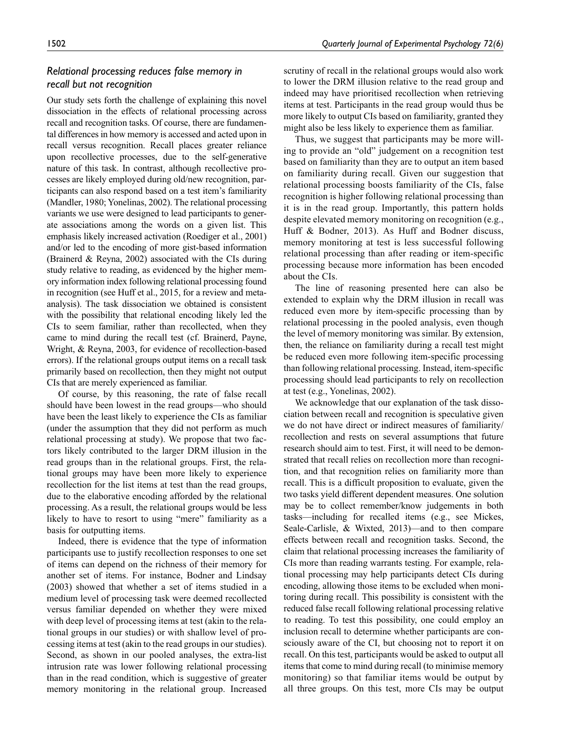### *Relational processing reduces false memory in recall but not recognition*

Our study sets forth the challenge of explaining this novel dissociation in the effects of relational processing across recall and recognition tasks. Of course, there are fundamental differences in how memory is accessed and acted upon in recall versus recognition. Recall places greater reliance upon recollective processes, due to the self-generative nature of this task. In contrast, although recollective processes are likely employed during old/new recognition, participants can also respond based on a test item's familiarity (Mandler, 1980; Yonelinas, 2002). The relational processing variants we use were designed to lead participants to generate associations among the words on a given list. This emphasis likely increased activation (Roediger et al., 2001) and/or led to the encoding of more gist-based information (Brainerd & Reyna, 2002) associated with the CIs during study relative to reading, as evidenced by the higher memory information index following relational processing found in recognition (see Huff et al., 2015, for a review and metaanalysis). The task dissociation we obtained is consistent with the possibility that relational encoding likely led the CIs to seem familiar, rather than recollected, when they came to mind during the recall test (cf. Brainerd, Payne, Wright, & Reyna, 2003, for evidence of recollection-based errors). If the relational groups output items on a recall task primarily based on recollection, then they might not output CIs that are merely experienced as familiar.

Of course, by this reasoning, the rate of false recall should have been lowest in the read groups—who should have been the least likely to experience the CIs as familiar (under the assumption that they did not perform as much relational processing at study). We propose that two factors likely contributed to the larger DRM illusion in the read groups than in the relational groups. First, the relational groups may have been more likely to experience recollection for the list items at test than the read groups, due to the elaborative encoding afforded by the relational processing. As a result, the relational groups would be less likely to have to resort to using "mere" familiarity as a basis for outputting items.

Indeed, there is evidence that the type of information participants use to justify recollection responses to one set of items can depend on the richness of their memory for another set of items. For instance, Bodner and Lindsay (2003) showed that whether a set of items studied in a medium level of processing task were deemed recollected versus familiar depended on whether they were mixed with deep level of processing items at test (akin to the relational groups in our studies) or with shallow level of processing items at test (akin to the read groups in our studies). Second, as shown in our pooled analyses, the extra-list intrusion rate was lower following relational processing than in the read condition, which is suggestive of greater memory monitoring in the relational group. Increased scrutiny of recall in the relational groups would also work to lower the DRM illusion relative to the read group and indeed may have prioritised recollection when retrieving items at test. Participants in the read group would thus be more likely to output CIs based on familiarity, granted they might also be less likely to experience them as familiar.

Thus, we suggest that participants may be more willing to provide an "old" judgement on a recognition test based on familiarity than they are to output an item based on familiarity during recall. Given our suggestion that relational processing boosts familiarity of the CIs, false recognition is higher following relational processing than it is in the read group. Importantly, this pattern holds despite elevated memory monitoring on recognition (e.g., Huff & Bodner, 2013). As Huff and Bodner discuss, memory monitoring at test is less successful following relational processing than after reading or item-specific processing because more information has been encoded about the CIs.

The line of reasoning presented here can also be extended to explain why the DRM illusion in recall was reduced even more by item-specific processing than by relational processing in the pooled analysis, even though the level of memory monitoring was similar. By extension, then, the reliance on familiarity during a recall test might be reduced even more following item-specific processing than following relational processing. Instead, item-specific processing should lead participants to rely on recollection at test (e.g., Yonelinas, 2002).

We acknowledge that our explanation of the task dissociation between recall and recognition is speculative given we do not have direct or indirect measures of familiarity/ recollection and rests on several assumptions that future research should aim to test. First, it will need to be demonstrated that recall relies on recollection more than recognition, and that recognition relies on familiarity more than recall. This is a difficult proposition to evaluate, given the two tasks yield different dependent measures. One solution may be to collect remember/know judgements in both tasks—including for recalled items (e.g., see Mickes, Seale-Carlisle, & Wixted, 2013)—and to then compare effects between recall and recognition tasks. Second, the claim that relational processing increases the familiarity of CIs more than reading warrants testing. For example, relational processing may help participants detect CIs during encoding, allowing those items to be excluded when monitoring during recall. This possibility is consistent with the reduced false recall following relational processing relative to reading. To test this possibility, one could employ an inclusion recall to determine whether participants are consciously aware of the CI, but choosing not to report it on recall. On this test, participants would be asked to output all items that come to mind during recall (to minimise memory monitoring) so that familiar items would be output by all three groups. On this test, more CIs may be output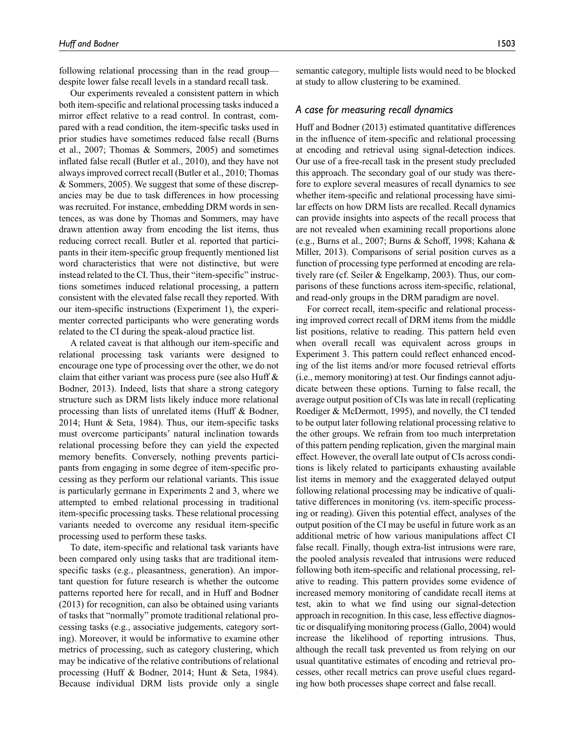following relational processing than in the read group despite lower false recall levels in a standard recall task.

Our experiments revealed a consistent pattern in which both item-specific and relational processing tasks induced a mirror effect relative to a read control. In contrast, compared with a read condition, the item-specific tasks used in prior studies have sometimes reduced false recall (Burns et al., 2007; Thomas & Sommers, 2005) and sometimes inflated false recall (Butler et al., 2010), and they have not always improved correct recall (Butler et al., 2010; Thomas & Sommers, 2005). We suggest that some of these discrepancies may be due to task differences in how processing was recruited. For instance, embedding DRM words in sentences, as was done by Thomas and Sommers, may have drawn attention away from encoding the list items, thus reducing correct recall. Butler et al. reported that participants in their item-specific group frequently mentioned list word characteristics that were not distinctive, but were instead related to the CI. Thus, their "item-specific" instructions sometimes induced relational processing, a pattern consistent with the elevated false recall they reported. With our item-specific instructions (Experiment 1), the experimenter corrected participants who were generating words related to the CI during the speak-aloud practice list.

A related caveat is that although our item-specific and relational processing task variants were designed to encourage one type of processing over the other, we do not claim that either variant was process pure (see also Huff & Bodner, 2013). Indeed, lists that share a strong category structure such as DRM lists likely induce more relational processing than lists of unrelated items (Huff & Bodner, 2014; Hunt & Seta, 1984). Thus, our item-specific tasks must overcome participants' natural inclination towards relational processing before they can yield the expected memory benefits. Conversely, nothing prevents participants from engaging in some degree of item-specific processing as they perform our relational variants. This issue is particularly germane in Experiments 2 and 3, where we attempted to embed relational processing in traditional item-specific processing tasks. These relational processing variants needed to overcome any residual item-specific processing used to perform these tasks.

To date, item-specific and relational task variants have been compared only using tasks that are traditional itemspecific tasks (e.g., pleasantness, generation). An important question for future research is whether the outcome patterns reported here for recall, and in Huff and Bodner (2013) for recognition, can also be obtained using variants of tasks that "normally" promote traditional relational processing tasks (e.g., associative judgements, category sorting). Moreover, it would be informative to examine other metrics of processing, such as category clustering, which may be indicative of the relative contributions of relational processing (Huff & Bodner, 2014; Hunt & Seta, 1984). Because individual DRM lists provide only a single semantic category, multiple lists would need to be blocked at study to allow clustering to be examined.

#### *A case for measuring recall dynamics*

Huff and Bodner (2013) estimated quantitative differences in the influence of item-specific and relational processing at encoding and retrieval using signal-detection indices. Our use of a free-recall task in the present study precluded this approach. The secondary goal of our study was therefore to explore several measures of recall dynamics to see whether item-specific and relational processing have similar effects on how DRM lists are recalled. Recall dynamics can provide insights into aspects of the recall process that are not revealed when examining recall proportions alone (e.g., Burns et al., 2007; Burns & Schoff, 1998; Kahana & Miller, 2013). Comparisons of serial position curves as a function of processing type performed at encoding are relatively rare (cf. Seiler & Engelkamp, 2003). Thus, our comparisons of these functions across item-specific, relational, and read-only groups in the DRM paradigm are novel.

For correct recall, item-specific and relational processing improved correct recall of DRM items from the middle list positions, relative to reading. This pattern held even when overall recall was equivalent across groups in Experiment 3. This pattern could reflect enhanced encoding of the list items and/or more focused retrieval efforts (i.e., memory monitoring) at test. Our findings cannot adjudicate between these options. Turning to false recall, the average output position of CIs was late in recall (replicating Roediger & McDermott, 1995), and novelly, the CI tended to be output later following relational processing relative to the other groups. We refrain from too much interpretation of this pattern pending replication, given the marginal main effect. However, the overall late output of CIs across conditions is likely related to participants exhausting available list items in memory and the exaggerated delayed output following relational processing may be indicative of qualitative differences in monitoring (vs. item-specific processing or reading). Given this potential effect, analyses of the output position of the CI may be useful in future work as an additional metric of how various manipulations affect CI false recall. Finally, though extra-list intrusions were rare, the pooled analysis revealed that intrusions were reduced following both item-specific and relational processing, relative to reading. This pattern provides some evidence of increased memory monitoring of candidate recall items at test, akin to what we find using our signal-detection approach in recognition. In this case, less effective diagnostic or disqualifying monitoring process (Gallo, 2004) would increase the likelihood of reporting intrusions. Thus, although the recall task prevented us from relying on our usual quantitative estimates of encoding and retrieval processes, other recall metrics can prove useful clues regarding how both processes shape correct and false recall.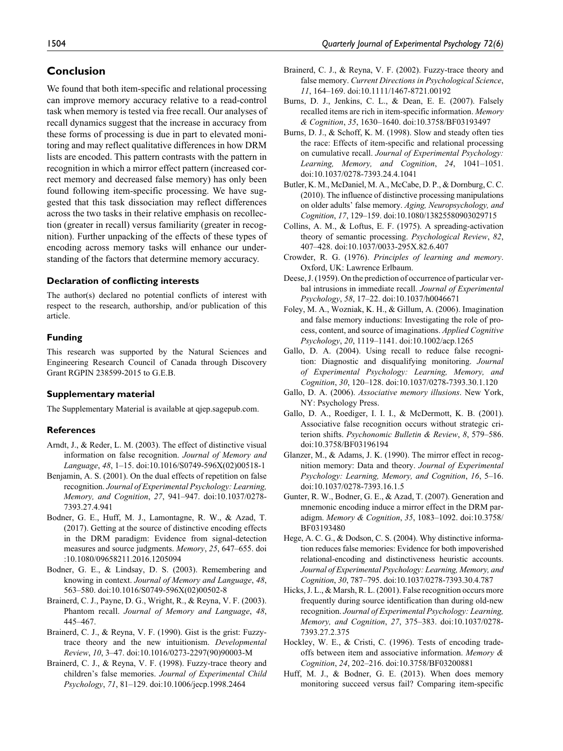#### **Conclusion**

We found that both item-specific and relational processing can improve memory accuracy relative to a read-control task when memory is tested via free recall. Our analyses of recall dynamics suggest that the increase in accuracy from these forms of processing is due in part to elevated monitoring and may reflect qualitative differences in how DRM lists are encoded. This pattern contrasts with the pattern in recognition in which a mirror effect pattern (increased correct memory and decreased false memory) has only been found following item-specific processing. We have suggested that this task dissociation may reflect differences across the two tasks in their relative emphasis on recollection (greater in recall) versus familiarity (greater in recognition). Further unpacking of the effects of these types of encoding across memory tasks will enhance our understanding of the factors that determine memory accuracy.

#### **Declaration of conflicting interests**

The author(s) declared no potential conflicts of interest with respect to the research, authorship, and/or publication of this article.

#### **Funding**

This research was supported by the Natural Sciences and Engineering Research Council of Canada through Discovery Grant RGPIN 238599-2015 to G.E.B.

#### **Supplementary material**

The Supplementary Material is available at qjep.sagepub.com.

#### **References**

- Arndt, J., & Reder, L. M. (2003). The effect of distinctive visual information on false recognition. *Journal of Memory and Language*, *48*, 1–15. doi:10.1016/S0749-596X(02)00518-1
- Benjamin, A. S. (2001). On the dual effects of repetition on false recognition. *Journal of Experimental Psychology: Learning, Memory, and Cognition*, *27*, 941–947. doi:10.1037/0278- 7393.27.4.941
- Bodner, G. E., Huff, M. J., Lamontagne, R. W., & Azad, T. (2017). Getting at the source of distinctive encoding effects in the DRM paradigm: Evidence from signal-detection measures and source judgments. *Memory*, *25*, 647–655. doi :10.1080/09658211.2016.1205094
- Bodner, G. E., & Lindsay, D. S. (2003). Remembering and knowing in context. *Journal of Memory and Language*, *48*, 563–580. doi:10.1016/S0749-596X(02)00502-8
- Brainerd, C. J., Payne, D. G., Wright, R., & Reyna, V. F. (2003). Phantom recall. *Journal of Memory and Language*, *48*, 445–467.
- Brainerd, C. J., & Reyna, V. F. (1990). Gist is the grist: Fuzzytrace theory and the new intuitionism. *Developmental Review*, *10*, 3–47. doi:10.1016/0273-2297(90)90003-M
- Brainerd, C. J., & Reyna, V. F. (1998). Fuzzy-trace theory and children's false memories. *Journal of Experimental Child Psychology*, *71*, 81–129. doi:10.1006/jecp.1998.2464
- Brainerd, C. J., & Reyna, V. F. (2002). Fuzzy-trace theory and false memory. *Current Directions in Psychological Science*, *11*, 164–169. doi:10.1111/1467-8721.00192
- Burns, D. J., Jenkins, C. L., & Dean, E. E. (2007). Falsely recalled items are rich in item-specific information. *Memory & Cognition*, *35*, 1630–1640. doi:10.3758/BF03193497
- Burns, D. J., & Schoff, K. M. (1998). Slow and steady often ties the race: Effects of item-specific and relational processing on cumulative recall. *Journal of Experimental Psychology: Learning, Memory, and Cognition*, *24*, 1041–1051. doi:10.1037/0278-7393.24.4.1041
- Butler, K. M., McDaniel, M. A., McCabe, D. P., & Dornburg, C. C. (2010). The influence of distinctive processing manipulations on older adults' false memory. *Aging, Neuropsychology, and Cognition*, *17*, 129–159. doi:10.1080/13825580903029715
- Collins, A. M., & Loftus, E. F. (1975). A spreading-activation theory of semantic processing. *Psychological Review*, *82*, 407–428. doi:10.1037/0033-295X.82.6.407
- Crowder, R. G. (1976). *Principles of learning and memory*. Oxford, UK: Lawrence Erlbaum.
- Deese, J. (1959). On the prediction of occurrence of particular verbal intrusions in immediate recall. *Journal of Experimental Psychology*, *58*, 17–22. doi:10.1037/h0046671
- Foley, M. A., Wozniak, K. H., & Gillum, A. (2006). Imagination and false memory inductions: Investigating the role of process, content, and source of imaginations. *Applied Cognitive Psychology*, *20*, 1119–1141. doi:10.1002/acp.1265
- Gallo, D. A. (2004). Using recall to reduce false recognition: Diagnostic and disqualifying monitoring. *Journal of Experimental Psychology: Learning, Memory, and Cognition*, *30*, 120–128. doi:10.1037/0278-7393.30.1.120
- Gallo, D. A. (2006). *Associative memory illusions*. New York, NY: Psychology Press.
- Gallo, D. A., Roediger, I. I. I., & McDermott, K. B. (2001). Associative false recognition occurs without strategic criterion shifts. *Psychonomic Bulletin & Review*, *8*, 579–586. doi:10.3758/BF03196194
- Glanzer, M., & Adams, J. K. (1990). The mirror effect in recognition memory: Data and theory. *Journal of Experimental Psychology: Learning, Memory, and Cognition*, *16*, 5–16. doi:10.1037/0278-7393.16.1.5
- Gunter, R. W., Bodner, G. E., & Azad, T. (2007). Generation and mnemonic encoding induce a mirror effect in the DRM paradigm. *Memory & Cognition*, *35*, 1083–1092. doi:10.3758/ BF03193480
- Hege, A. C. G., & Dodson, C. S. (2004). Why distinctive information reduces false memories: Evidence for both impoverished relational-encoding and distinctiveness heuristic accounts. *Journal of Experimental Psychology: Learning, Memory, and Cognition*, *30*, 787–795. doi:10.1037/0278-7393.30.4.787
- Hicks, J. L., & Marsh, R. L. (2001). False recognition occurs more frequently during source identification than during old-new recognition. *Journal of Experimental Psychology: Learning, Memory, and Cognition*, *27*, 375–383. doi:10.1037/0278- 7393.27.2.375
- Hockley, W. E., & Cristi, C. (1996). Tests of encoding tradeoffs between item and associative information. *Memory & Cognition*, *24*, 202–216. doi:10.3758/BF03200881
- Huff, M. J., & Bodner, G. E. (2013). When does memory monitoring succeed versus fail? Comparing item-specific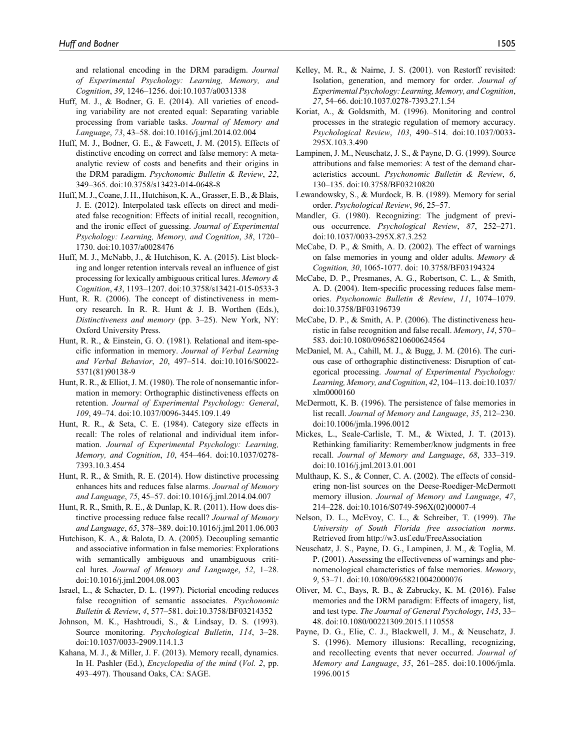and relational encoding in the DRM paradigm. *Journal of Experimental Psychology: Learning, Memory, and Cognition*, *39*, 1246–1256. doi:10.1037/a0031338

- Huff, M. J., & Bodner, G. E. (2014). All varieties of encoding variability are not created equal: Separating variable processing from variable tasks. *Journal of Memory and Language*, *73*, 43–58. doi:10.1016/j.jml.2014.02.004
- Huff, M. J., Bodner, G. E., & Fawcett, J. M. (2015). Effects of distinctive encoding on correct and false memory: A metaanalytic review of costs and benefits and their origins in the DRM paradigm. *Psychonomic Bulletin & Review*, *22*, 349–365. doi:10.3758/s13423-014-0648-8
- Huff, M. J., Coane, J. H., Hutchison, K. A., Grasser, E. B., & Blais, J. E. (2012). Interpolated task effects on direct and mediated false recognition: Effects of initial recall, recognition, and the ironic effect of guessing. *Journal of Experimental Psychology: Learning, Memory, and Cognition*, *38*, 1720– 1730. doi:10.1037/a0028476
- Huff, M. J., McNabb, J., & Hutchison, K. A. (2015). List blocking and longer retention intervals reveal an influence of gist processing for lexically ambiguous critical lures. *Memory & Cognition*, *43*, 1193–1207. doi:10.3758/s13421-015-0533-3
- Hunt, R. R. (2006). The concept of distinctiveness in memory research. In R. R. Hunt & J. B. Worthen (Eds.), *Distinctiveness and memory* (pp. 3–25). New York, NY: Oxford University Press.
- Hunt, R. R., & Einstein, G. O. (1981). Relational and item-specific information in memory. *Journal of Verbal Learning and Verbal Behavior*, *20*, 497–514. doi:10.1016/S0022- 5371(81)90138-9
- Hunt, R. R., & Elliot, J. M. (1980). The role of nonsemantic information in memory: Orthographic distinctiveness effects on retention. *Journal of Experimental Psychology: General*, *109*, 49–74. doi:10.1037/0096-3445.109.1.49
- Hunt, R. R., & Seta, C. E. (1984). Category size effects in recall: The roles of relational and individual item information. *Journal of Experimental Psychology: Learning, Memory, and Cognition*, *10*, 454–464. doi:10.1037/0278- 7393.10.3.454
- Hunt, R. R., & Smith, R. E. (2014). How distinctive processing enhances hits and reduces false alarms. *Journal of Memory and Language*, *75*, 45–57. doi:10.1016/j.jml.2014.04.007
- Hunt, R. R., Smith, R. E., & Dunlap, K. R. (2011). How does distinctive processing reduce false recall? *Journal of Memory and Language*, *65*, 378–389. doi:10.1016/j.jml.2011.06.003
- Hutchison, K. A., & Balota, D. A. (2005). Decoupling semantic and associative information in false memories: Explorations with semantically ambiguous and unambiguous critical lures. *Journal of Memory and Language*, *52*, 1–28. doi:10.1016/j.jml.2004.08.003
- Israel, L., & Schacter, D. L. (1997). Pictorial encoding reduces false recognition of semantic associates. *Psychonomic Bulletin & Review*, *4*, 577–581. doi:10.3758/BF03214352
- Johnson, M. K., Hashtroudi, S., & Lindsay, D. S. (1993). Source monitoring. *Psychological Bulletin*, *114*, 3–28. doi:10.1037/0033-2909.114.1.3
- Kahana, M. J., & Miller, J. F. (2013). Memory recall, dynamics. In H. Pashler (Ed.), *Encyclopedia of the mind* (*Vol. 2*, pp. 493–497). Thousand Oaks, CA: SAGE.
- Kelley, M. R., & Nairne, J. S. (2001). von Restorff revisited: Isolation, generation, and memory for order. *Journal of Experimental Psychology: Learning, Memory, and Cognition*, *27*, 54–66. doi:10.1037.0278-7393.27.1.54
- Koriat, A., & Goldsmith, M. (1996). Monitoring and control processes in the strategic regulation of memory accuracy. *Psychological Review*, *103*, 490–514. doi:10.1037/0033- 295X.103.3.490
- Lampinen, J. M., Neuschatz, J. S., & Payne, D. G. (1999). Source attributions and false memories: A test of the demand characteristics account. *Psychonomic Bulletin & Review*, *6*, 130–135. doi:10.3758/BF03210820
- Lewandowsky, S., & Murdock, B. B. (1989). Memory for serial order. *Psychological Review*, *96*, 25–57.
- Mandler, G. (1980). Recognizing: The judgment of previous occurrence. *Psychological Review*, *87*, 252–271. doi:10.1037/0033-295X.87.3.252
- McCabe, D. P., & Smith, A. D. (2002). The effect of warnings on false memories in young and older adults. *Memory & Cognition, 30*, 1065-1077. doi: 10.3758/BF03194324
- McCabe, D. P., Presmanes, A. G., Robertson, C. L., & Smith, A. D. (2004). Item-specific processing reduces false memories. *Psychonomic Bulletin & Review*, *11*, 1074–1079. doi:10.3758/BF03196739
- McCabe, D. P., & Smith, A. P. (2006). The distinctiveness heuristic in false recognition and false recall. *Memory*, *14*, 570– 583. doi:10.1080/09658210600624564
- McDaniel, M. A., Cahill, M. J., & Bugg, J. M. (2016). The curious case of orthographic distinctiveness: Disruption of categorical processing. *Journal of Experimental Psychology: Learning, Memory, and Cognition*, *42*, 104–113. doi:10.1037/ xlm0000160
- McDermott, K. B. (1996). The persistence of false memories in list recall. *Journal of Memory and Language*, *35*, 212–230. doi:10.1006/jmla.1996.0012
- Mickes, L., Seale-Carlisle, T. M., & Wixted, J. T. (2013). Rethinking familiarity: Remember/know judgments in free recall. *Journal of Memory and Language*, *68*, 333–319. doi:10.1016/j.jml.2013.01.001
- Multhaup, K. S., & Conner, C. A. (2002). The effects of considering non-list sources on the Deese-Roediger-McDermott memory illusion. *Journal of Memory and Language*, *47*, 214–228. doi:10.1016/S0749-596X(02)00007-4
- Nelson, D. L., McEvoy, C. L., & Schreiber, T. (1999). *The University of South Florida free association norms*. Retrieved from<http://w3.usf.edu/FreeAssociation>
- Neuschatz, J. S., Payne, D. G., Lampinen, J. M., & Toglia, M. P. (2001). Assessing the effectiveness of warnings and phenomenological characteristics of false memories. *Memory*, *9*, 53–71. doi:10.1080/09658210042000076
- Oliver, M. C., Bays, R. B., & Zabrucky, K. M. (2016). False memories and the DRM paradigm: Effects of imagery, list, and test type. *The Journal of General Psychology*, *143*, 33– 48. doi:10.1080/00221309.2015.1110558
- Payne, D. G., Elie, C. J., Blackwell, J. M., & Neuschatz, J. S. (1996). Memory illusions: Recalling, recognizing, and recollecting events that never occurred. *Journal of Memory and Language*, *35*, 261–285. doi:10.1006/jmla. 1996.0015